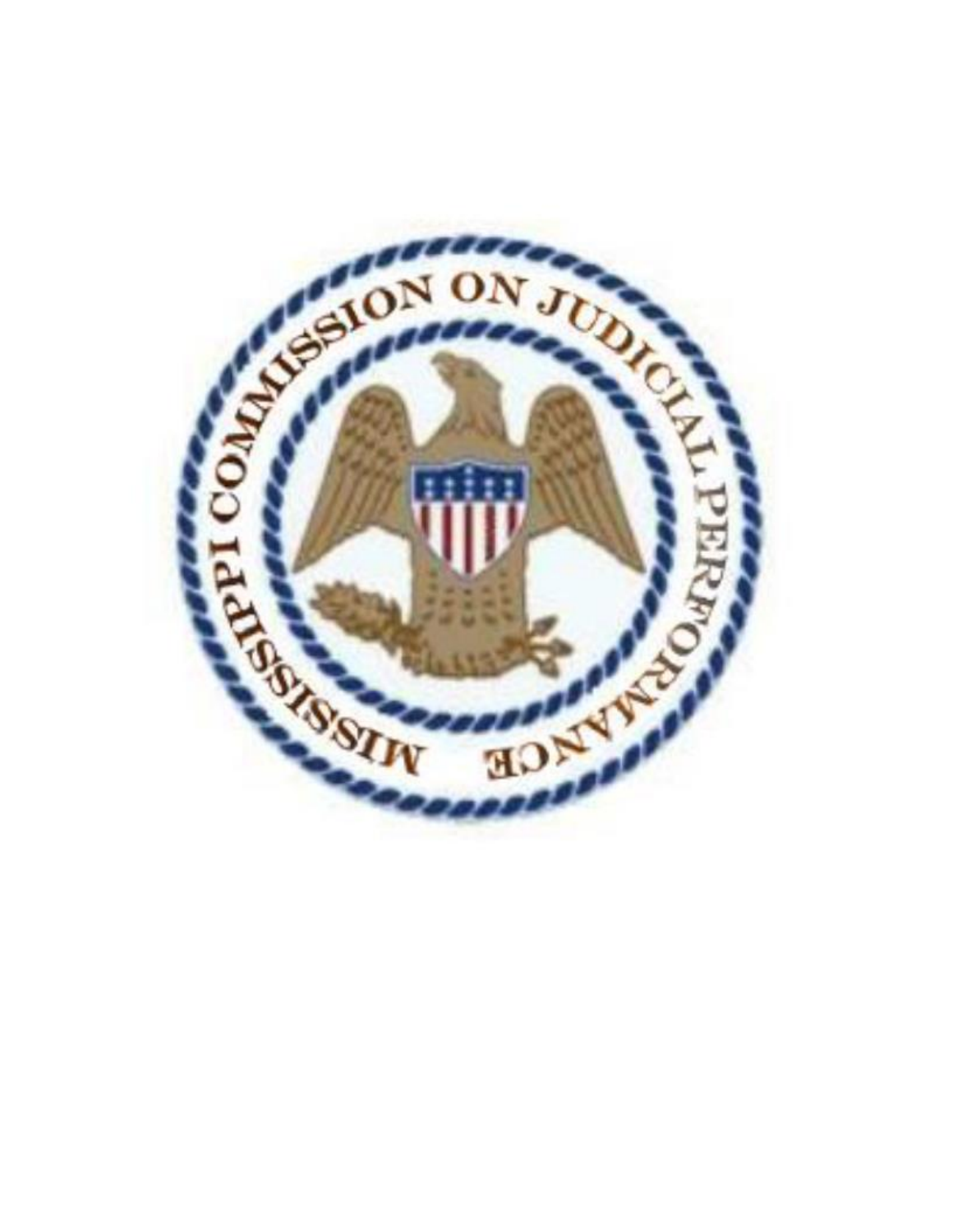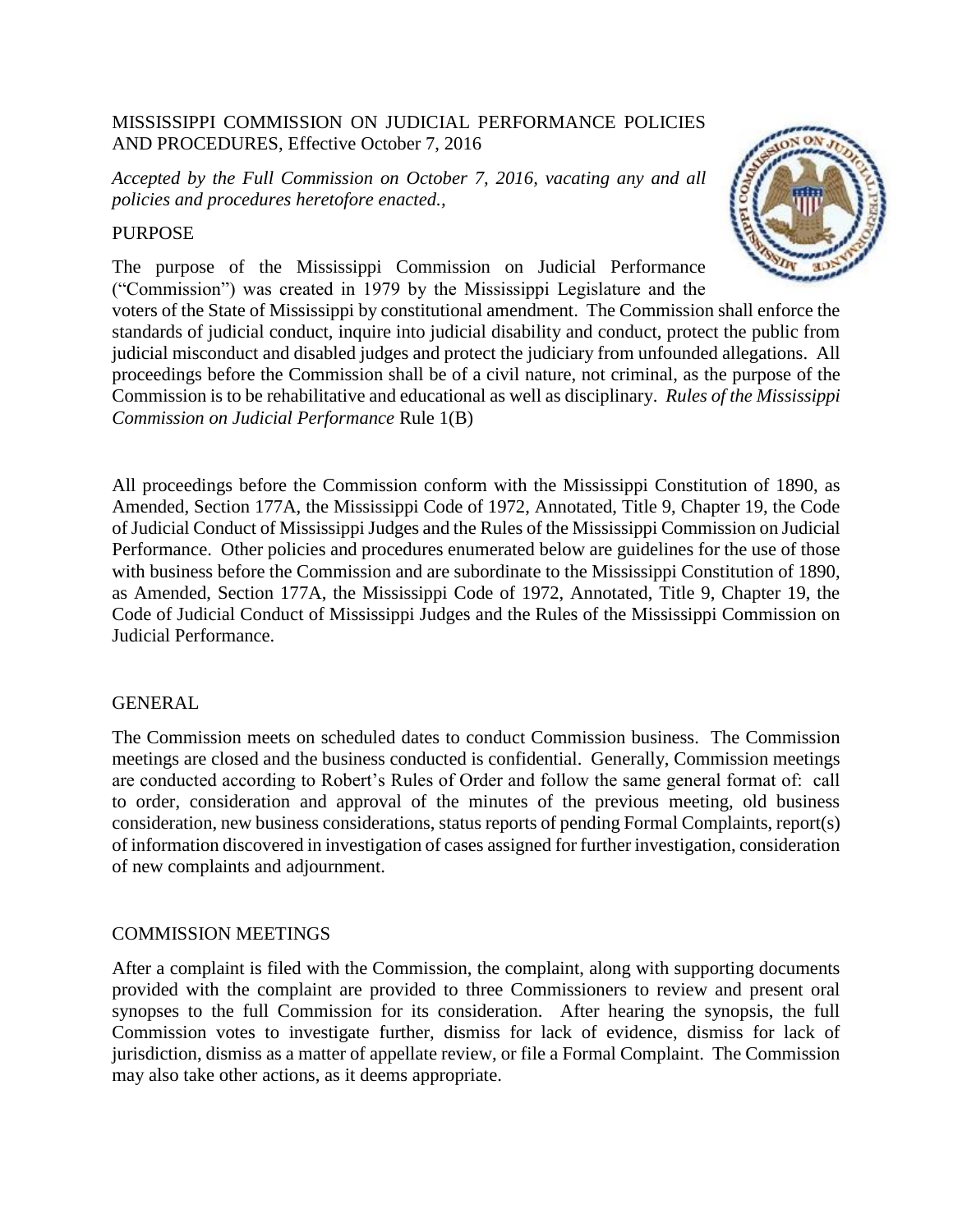# MISSISSIPPI COMMISSION ON JUDICIAL PERFORMANCE POLICIES AND PROCEDURES, Effective October 7, 2016

*Accepted by the Full Commission on October 7, 2016, vacating any and all policies and procedures heretofore enacted.,* 

# PURPOSE

The purpose of the Mississippi Commission on Judicial Performance ("Commission") was created in 1979 by the Mississippi Legislature and the

voters of the State of Mississippi by constitutional amendment. The Commission shall enforce the standards of judicial conduct, inquire into judicial disability and conduct, protect the public from judicial misconduct and disabled judges and protect the judiciary from unfounded allegations. All proceedings before the Commission shall be of a civil nature, not criminal, as the purpose of the Commission is to be rehabilitative and educational as well as disciplinary. *Rules of the Mississippi Commission on Judicial Performance* Rule 1(B)

All proceedings before the Commission conform with the Mississippi Constitution of 1890, as Amended, Section 177A, the Mississippi Code of 1972, Annotated, Title 9, Chapter 19, the Code of Judicial Conduct of Mississippi Judges and the Rules of the Mississippi Commission on Judicial Performance. Other policies and procedures enumerated below are guidelines for the use of those with business before the Commission and are subordinate to the Mississippi Constitution of 1890, as Amended, Section 177A, the Mississippi Code of 1972, Annotated, Title 9, Chapter 19, the Code of Judicial Conduct of Mississippi Judges and the Rules of the Mississippi Commission on Judicial Performance.

# **GENERAL**

The Commission meets on scheduled dates to conduct Commission business. The Commission meetings are closed and the business conducted is confidential. Generally, Commission meetings are conducted according to Robert's Rules of Order and follow the same general format of: call to order, consideration and approval of the minutes of the previous meeting, old business consideration, new business considerations, status reports of pending Formal Complaints, report(s) of information discovered in investigation of cases assigned for further investigation, consideration of new complaints and adjournment.

# COMMISSION MEETINGS

After a complaint is filed with the Commission, the complaint, along with supporting documents provided with the complaint are provided to three Commissioners to review and present oral synopses to the full Commission for its consideration. After hearing the synopsis, the full Commission votes to investigate further, dismiss for lack of evidence, dismiss for lack of jurisdiction, dismiss as a matter of appellate review, or file a Formal Complaint. The Commission may also take other actions, as it deems appropriate.

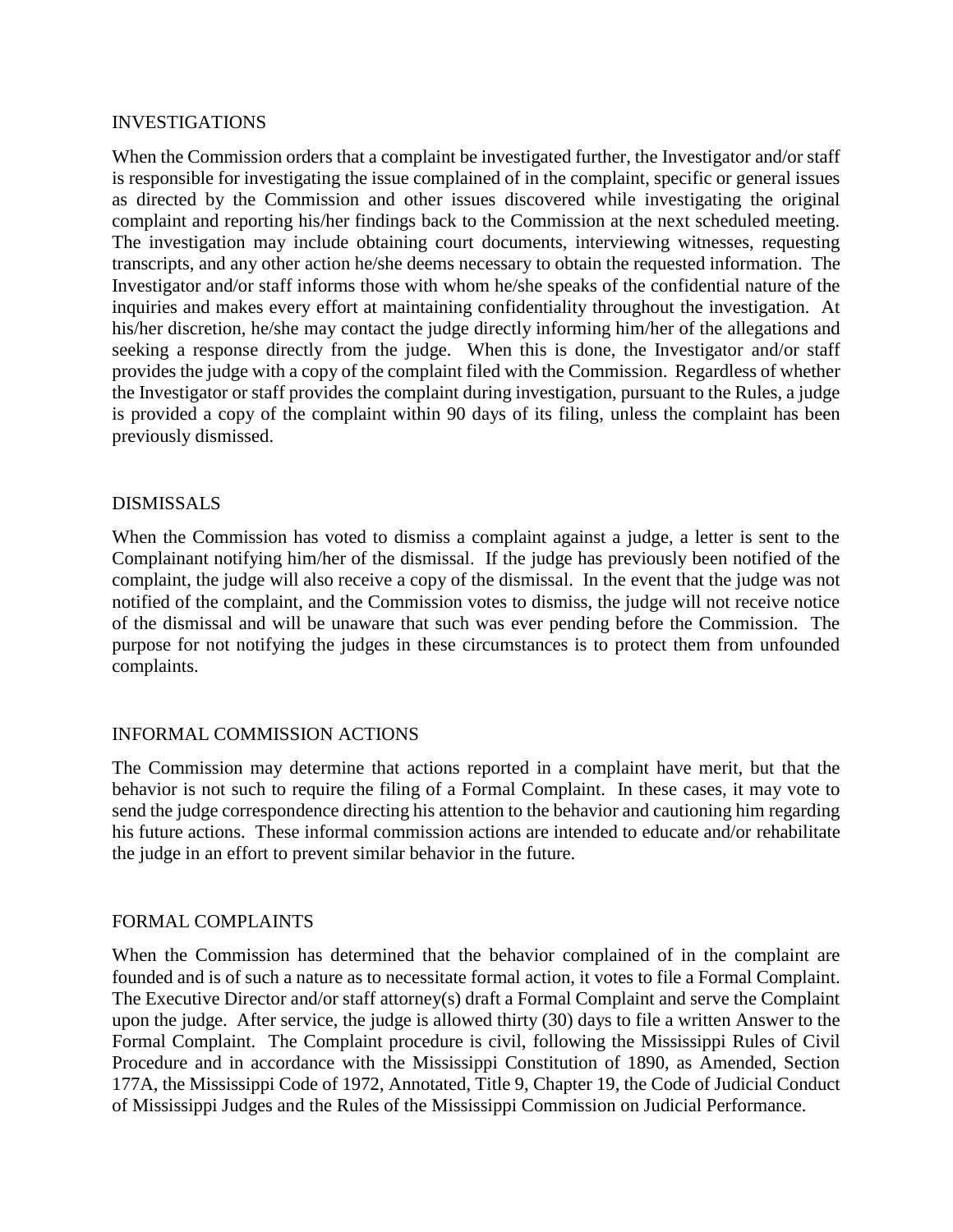#### INVESTIGATIONS

When the Commission orders that a complaint be investigated further, the Investigator and/or staff is responsible for investigating the issue complained of in the complaint, specific or general issues as directed by the Commission and other issues discovered while investigating the original complaint and reporting his/her findings back to the Commission at the next scheduled meeting. The investigation may include obtaining court documents, interviewing witnesses, requesting transcripts, and any other action he/she deems necessary to obtain the requested information. The Investigator and/or staff informs those with whom he/she speaks of the confidential nature of the inquiries and makes every effort at maintaining confidentiality throughout the investigation. At his/her discretion, he/she may contact the judge directly informing him/her of the allegations and seeking a response directly from the judge. When this is done, the Investigator and/or staff provides the judge with a copy of the complaint filed with the Commission. Regardless of whether the Investigator or staff provides the complaint during investigation, pursuant to the Rules, a judge is provided a copy of the complaint within 90 days of its filing, unless the complaint has been previously dismissed.

### DISMISSALS

When the Commission has voted to dismiss a complaint against a judge, a letter is sent to the Complainant notifying him/her of the dismissal. If the judge has previously been notified of the complaint, the judge will also receive a copy of the dismissal. In the event that the judge was not notified of the complaint, and the Commission votes to dismiss, the judge will not receive notice of the dismissal and will be unaware that such was ever pending before the Commission. The purpose for not notifying the judges in these circumstances is to protect them from unfounded complaints.

### INFORMAL COMMISSION ACTIONS

The Commission may determine that actions reported in a complaint have merit, but that the behavior is not such to require the filing of a Formal Complaint. In these cases, it may vote to send the judge correspondence directing his attention to the behavior and cautioning him regarding his future actions. These informal commission actions are intended to educate and/or rehabilitate the judge in an effort to prevent similar behavior in the future.

### FORMAL COMPLAINTS

When the Commission has determined that the behavior complained of in the complaint are founded and is of such a nature as to necessitate formal action, it votes to file a Formal Complaint. The Executive Director and/or staff attorney(s) draft a Formal Complaint and serve the Complaint upon the judge. After service, the judge is allowed thirty (30) days to file a written Answer to the Formal Complaint. The Complaint procedure is civil, following the Mississippi Rules of Civil Procedure and in accordance with the Mississippi Constitution of 1890, as Amended, Section 177A, the Mississippi Code of 1972, Annotated, Title 9, Chapter 19, the Code of Judicial Conduct of Mississippi Judges and the Rules of the Mississippi Commission on Judicial Performance.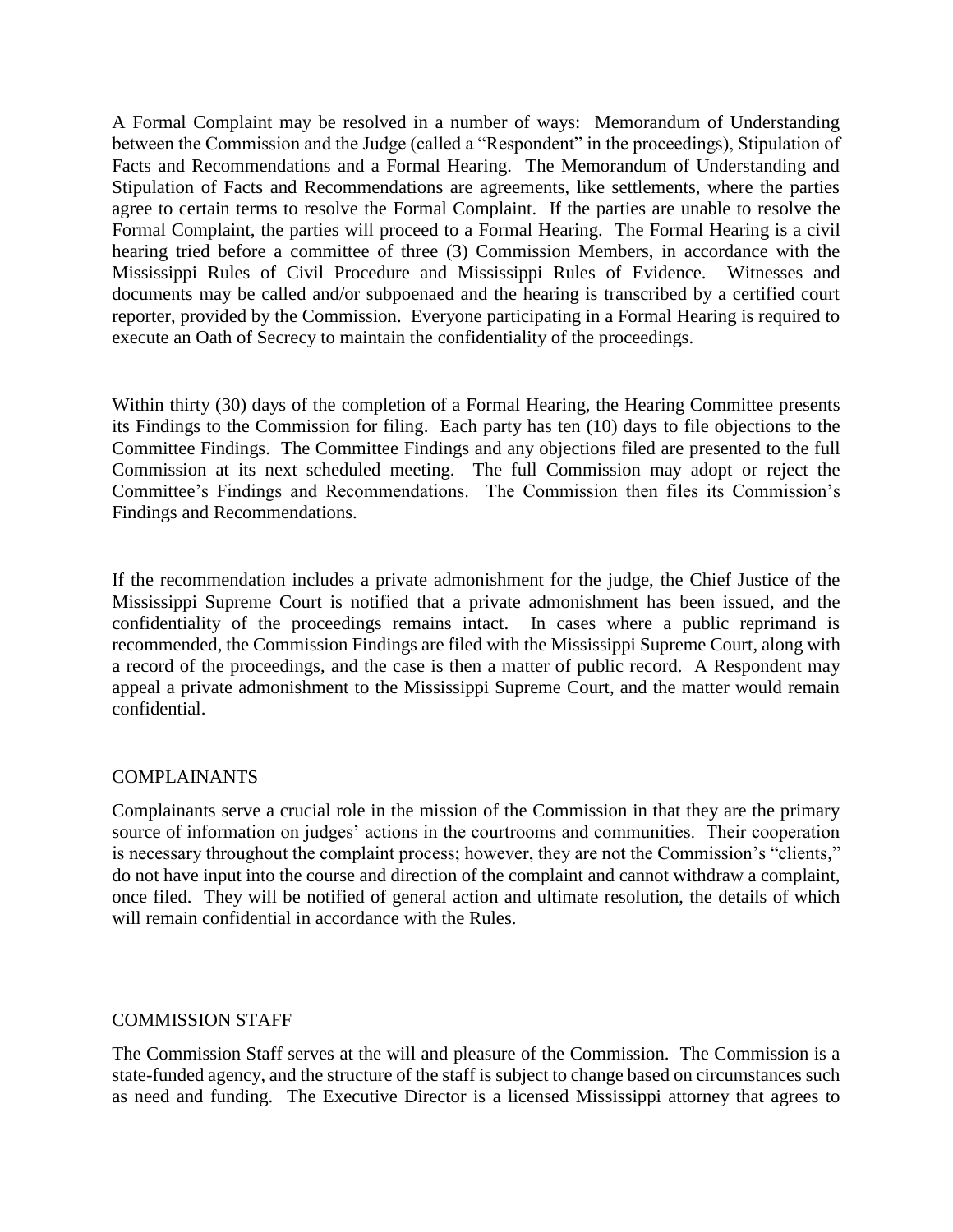A Formal Complaint may be resolved in a number of ways: Memorandum of Understanding between the Commission and the Judge (called a "Respondent" in the proceedings), Stipulation of Facts and Recommendations and a Formal Hearing. The Memorandum of Understanding and Stipulation of Facts and Recommendations are agreements, like settlements, where the parties agree to certain terms to resolve the Formal Complaint. If the parties are unable to resolve the Formal Complaint, the parties will proceed to a Formal Hearing. The Formal Hearing is a civil hearing tried before a committee of three (3) Commission Members, in accordance with the Mississippi Rules of Civil Procedure and Mississippi Rules of Evidence. Witnesses and documents may be called and/or subpoenaed and the hearing is transcribed by a certified court reporter, provided by the Commission. Everyone participating in a Formal Hearing is required to execute an Oath of Secrecy to maintain the confidentiality of the proceedings.

Within thirty (30) days of the completion of a Formal Hearing, the Hearing Committee presents its Findings to the Commission for filing. Each party has ten (10) days to file objections to the Committee Findings. The Committee Findings and any objections filed are presented to the full Commission at its next scheduled meeting. The full Commission may adopt or reject the Committee's Findings and Recommendations. The Commission then files its Commission's Findings and Recommendations.

If the recommendation includes a private admonishment for the judge, the Chief Justice of the Mississippi Supreme Court is notified that a private admonishment has been issued, and the confidentiality of the proceedings remains intact. In cases where a public reprimand is recommended, the Commission Findings are filed with the Mississippi Supreme Court, along with a record of the proceedings, and the case is then a matter of public record. A Respondent may appeal a private admonishment to the Mississippi Supreme Court, and the matter would remain confidential.

### COMPLAINANTS

Complainants serve a crucial role in the mission of the Commission in that they are the primary source of information on judges' actions in the courtrooms and communities. Their cooperation is necessary throughout the complaint process; however, they are not the Commission's "clients," do not have input into the course and direction of the complaint and cannot withdraw a complaint, once filed. They will be notified of general action and ultimate resolution, the details of which will remain confidential in accordance with the Rules.

### COMMISSION STAFF

The Commission Staff serves at the will and pleasure of the Commission. The Commission is a state-funded agency, and the structure of the staff is subject to change based on circumstances such as need and funding. The Executive Director is a licensed Mississippi attorney that agrees to